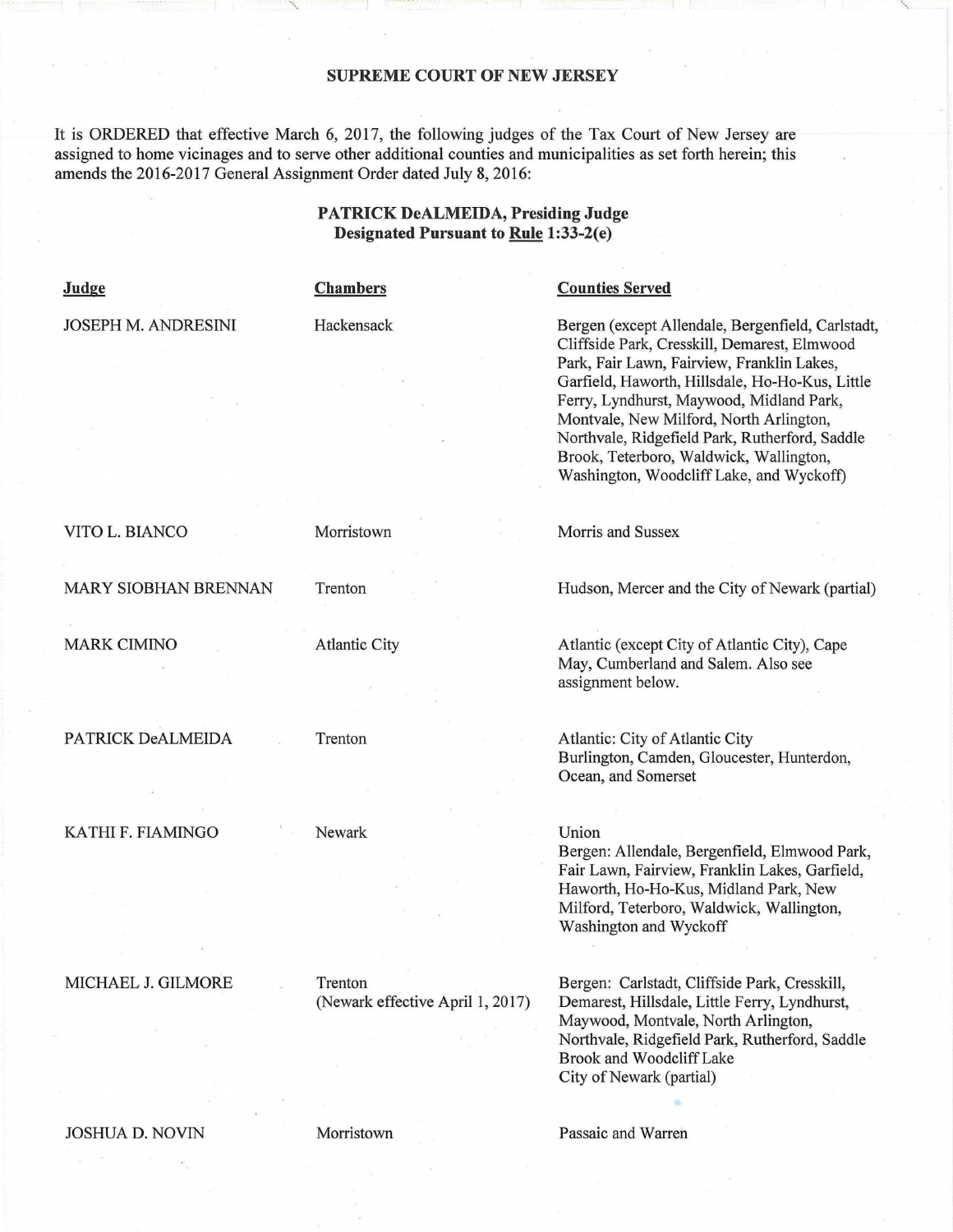## **SUPREME COURT OF NEW JERSEY**

It is ORDERED that effective March 6, 2017, the following judges of the Tax Court of New Jersey are assigned to home vicinages and to serve other additional counties and municipalities as set forth herein; this amends the 2016-2017 General Assignment Order dated July 8, 2016:

## **PATRICK DeALMEIDA, Presiding Judge Designated Pursuant to Rule 1:33-2(e)**

| <b>Judge</b>                | <b>Chambers</b>                             | <b>Counties Served</b>                                                                                                                                                                                                                                                                                                                                                                                                             |
|-----------------------------|---------------------------------------------|------------------------------------------------------------------------------------------------------------------------------------------------------------------------------------------------------------------------------------------------------------------------------------------------------------------------------------------------------------------------------------------------------------------------------------|
| <b>JOSEPH M. ANDRESINI</b>  | Hackensack                                  | Bergen (except Allendale, Bergenfield, Carlstadt,<br>Cliffside Park, Cresskill, Demarest, Elmwood<br>Park, Fair Lawn, Fairview, Franklin Lakes,<br>Garfield, Haworth, Hillsdale, Ho-Ho-Kus, Little<br>Ferry, Lyndhurst, Maywood, Midland Park,<br>Montvale, New Milford, North Arlington,<br>Northvale, Ridgefield Park, Rutherford, Saddle<br>Brook, Teterboro, Waldwick, Wallington,<br>Washington, Woodcliff Lake, and Wyckoff) |
| VITO L. BIANCO              | Morristown                                  | Morris and Sussex                                                                                                                                                                                                                                                                                                                                                                                                                  |
| <b>MARY SIOBHAN BRENNAN</b> | Trenton                                     | Hudson, Mercer and the City of Newark (partial)                                                                                                                                                                                                                                                                                                                                                                                    |
| <b>MARK CIMINO</b>          | <b>Atlantic City</b>                        | Atlantic (except City of Atlantic City), Cape<br>May, Cumberland and Salem. Also see<br>assignment below.                                                                                                                                                                                                                                                                                                                          |
| PATRICK DeALMEIDA           | Trenton                                     | Atlantic: City of Atlantic City<br>Burlington, Camden, Gloucester, Hunterdon,<br>Ocean, and Somerset                                                                                                                                                                                                                                                                                                                               |
| KATHI F. FIAMINGO           | Newark                                      | Union<br>Bergen: Allendale, Bergenfield, Elmwood Park,<br>Fair Lawn, Fairview, Franklin Lakes, Garfield,<br>Haworth, Ho-Ho-Kus, Midland Park, New                                                                                                                                                                                                                                                                                  |
|                             |                                             | Milford, Teterboro, Waldwick, Wallington,<br>Washington and Wyckoff                                                                                                                                                                                                                                                                                                                                                                |
| MICHAEL J. GILMORE          | Trenton<br>(Newark effective April 1, 2017) | Bergen: Carlstadt, Cliffside Park, Cresskill,<br>Demarest, Hillsdale, Little Ferry, Lyndhurst,<br>Maywood, Montvale, North Arlington,<br>Northvale, Ridgefield Park, Rutherford, Saddle<br><b>Brook and Woodcliff Lake</b>                                                                                                                                                                                                         |
|                             |                                             | City of Newark (partial)                                                                                                                                                                                                                                                                                                                                                                                                           |
| <b>JOSHUA D. NOVIN</b>      | Morristown                                  | Passaic and Warren                                                                                                                                                                                                                                                                                                                                                                                                                 |